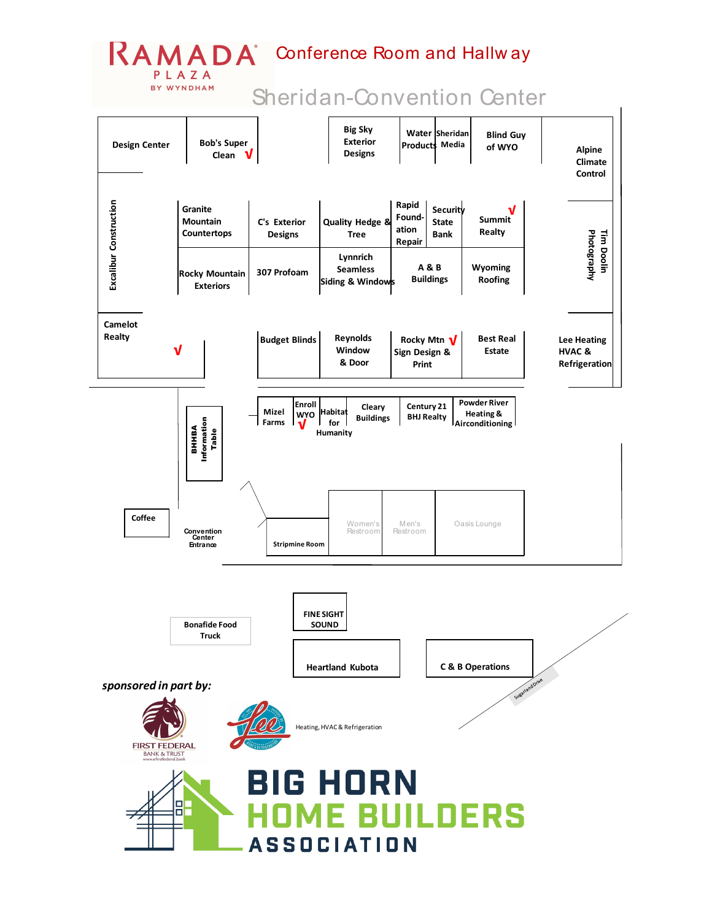## RAMADA Conference Room and Hallw ay

PLAZA BY WYNDHAM

## Sheridan-Convention Center